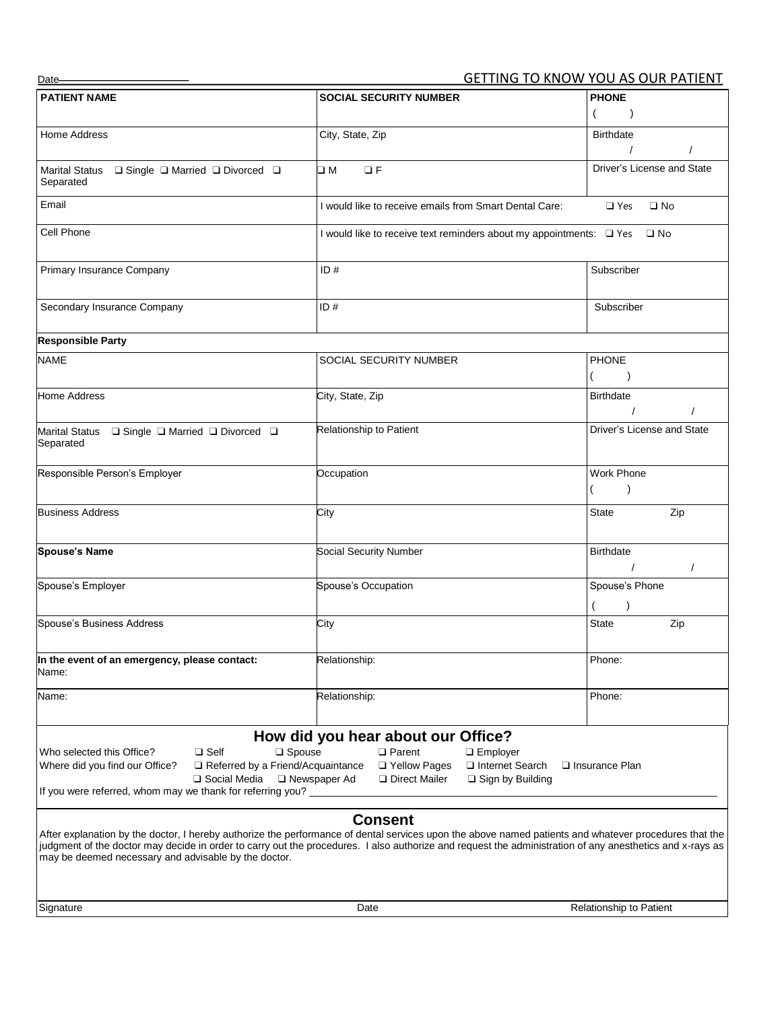| Date                                                                                                            |                                                                                                                                                          | <b>GETTING TO KNOW YOU AS OUR PATIENT</b>  |
|-----------------------------------------------------------------------------------------------------------------|----------------------------------------------------------------------------------------------------------------------------------------------------------|--------------------------------------------|
| <b>PATIENT NAME</b>                                                                                             | <b>SOCIAL SECURITY NUMBER</b>                                                                                                                            | <b>PHONE</b>                               |
|                                                                                                                 |                                                                                                                                                          | $\overline{ }$                             |
| Home Address                                                                                                    | City, State, Zip                                                                                                                                         | <b>Birthdate</b>                           |
|                                                                                                                 |                                                                                                                                                          |                                            |
| Marital Status □ Single □ Married □ Divorced □                                                                  | $\Box F$<br>– M                                                                                                                                          | Driver's License and State                 |
| Separated                                                                                                       |                                                                                                                                                          |                                            |
| Email                                                                                                           | I would like to receive emails from Smart Dental Care:                                                                                                   | $\Box$ Yes<br>$\square$ No                 |
|                                                                                                                 |                                                                                                                                                          |                                            |
| Cell Phone                                                                                                      | I would like to receive text reminders about my appointments: □ Yes                                                                                      | $\square$ No                               |
| Primary Insurance Company                                                                                       | ID#                                                                                                                                                      | Subscriber                                 |
|                                                                                                                 |                                                                                                                                                          |                                            |
| Secondary Insurance Company                                                                                     | ID#                                                                                                                                                      | Subscriber                                 |
|                                                                                                                 |                                                                                                                                                          |                                            |
| <b>Responsible Party</b>                                                                                        |                                                                                                                                                          |                                            |
| <b>NAME</b>                                                                                                     | SOCIAL SECURITY NUMBER                                                                                                                                   | <b>PHONE</b>                               |
|                                                                                                                 |                                                                                                                                                          |                                            |
| <b>Home Address</b>                                                                                             | City, State, Zip                                                                                                                                         | <b>Birthdate</b>                           |
|                                                                                                                 |                                                                                                                                                          | $\prime$                                   |
| Marital Status  □ Single □ Married □ Divorced □                                                                 | Relationship to Patient                                                                                                                                  | Driver's License and State                 |
| Separated                                                                                                       |                                                                                                                                                          |                                            |
| Responsible Person's Employer                                                                                   | Occupation                                                                                                                                               | Work Phone                                 |
|                                                                                                                 |                                                                                                                                                          |                                            |
| <b>Business Address</b>                                                                                         | City                                                                                                                                                     | Zip<br>State                               |
|                                                                                                                 |                                                                                                                                                          |                                            |
| <b>Spouse's Name</b>                                                                                            |                                                                                                                                                          |                                            |
|                                                                                                                 | Social Security Number                                                                                                                                   | <b>Birthdate</b><br>$\prime$<br>$\sqrt{2}$ |
| Spouse's Employer                                                                                               | Spouse's Occupation                                                                                                                                      | Spouse's Phone                             |
|                                                                                                                 |                                                                                                                                                          |                                            |
| Spouse's Business Address                                                                                       |                                                                                                                                                          | $\lambda$<br>Zip<br>State                  |
|                                                                                                                 | City                                                                                                                                                     |                                            |
| In the event of an emergency, please contact:                                                                   |                                                                                                                                                          |                                            |
| Name:                                                                                                           | Relationship:                                                                                                                                            | Phone:                                     |
|                                                                                                                 | Relationship:                                                                                                                                            | Phone:                                     |
| Name:                                                                                                           |                                                                                                                                                          |                                            |
|                                                                                                                 |                                                                                                                                                          |                                            |
| $\square$ Spouse                                                                                                | How did you hear about our Office?                                                                                                                       |                                            |
| Who selected this Office?<br>$\Box$ Self<br>Where did you find our Office?<br>Referred by a Friend/Acquaintance | $\Box$ Parent<br>$\Box$ Employer<br>□ Yellow Pages<br>Internet Search                                                                                    | $\Box$ Insurance Plan                      |
| □ Social Media                                                                                                  | □ Newspaper Ad<br>Direct Mailer<br>□ Sign by Building                                                                                                    |                                            |
| If you were referred, whom may we thank for referring you?                                                      |                                                                                                                                                          |                                            |
|                                                                                                                 | <b>Consent</b>                                                                                                                                           |                                            |
|                                                                                                                 | After explanation by the doctor, I hereby authorize the performance of dental services upon the above named patients and whatever procedures that the    |                                            |
| may be deemed necessary and advisable by the doctor.                                                            | judgment of the doctor may decide in order to carry out the procedures. I also authorize and request the administration of any anesthetics and x-rays as |                                            |
|                                                                                                                 |                                                                                                                                                          |                                            |
|                                                                                                                 |                                                                                                                                                          |                                            |
| Signature                                                                                                       | Date                                                                                                                                                     | Relationship to Patient                    |
|                                                                                                                 |                                                                                                                                                          |                                            |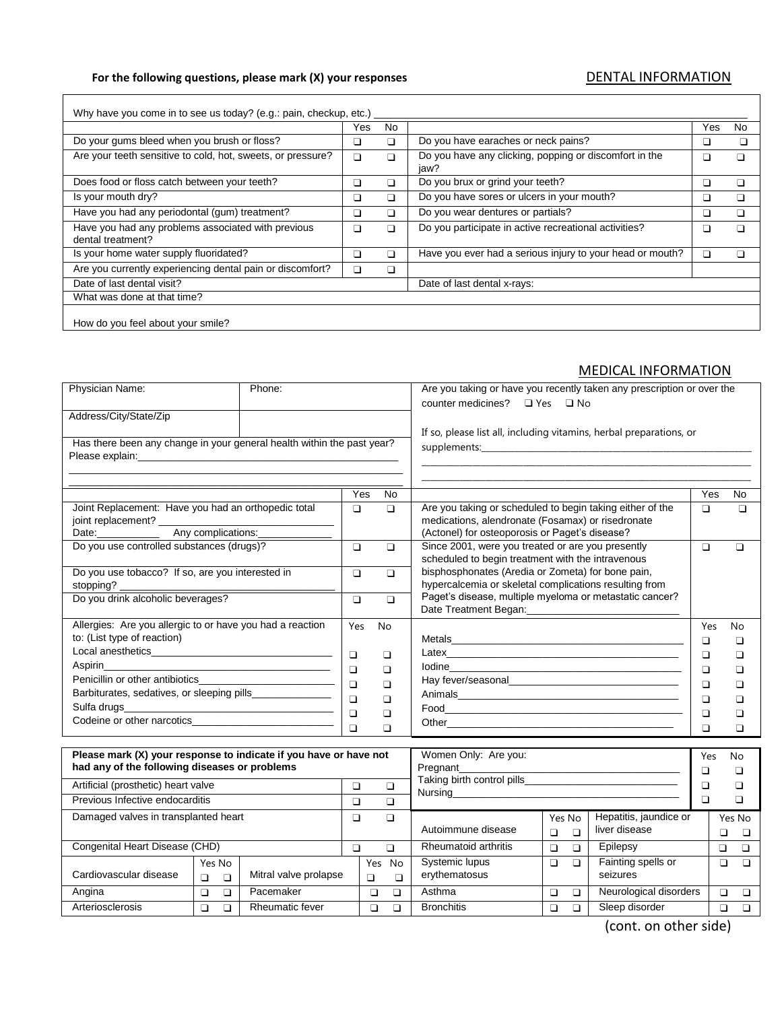## For the following questions, please mark (X) your responses **DENTAL INFORMATION**

П

Cardiovascular disease

Yes No

❑ ❑ Mitral valve prolapse

|                                                                         | Yes | No |                                                                | Yes                      | <b>No</b> |
|-------------------------------------------------------------------------|-----|----|----------------------------------------------------------------|--------------------------|-----------|
| Do your gums bleed when you brush or floss?                             |     | □  | Do you have earaches or neck pains?                            |                          |           |
| Are your teeth sensitive to cold, hot, sweets, or pressure?             | □   |    | Do you have any clicking, popping or discomfort in the<br>jaw? | ш                        |           |
| Does food or floss catch between your teeth?                            | □   | ⊓  | Do you brux or grind your teeth?                               | ⊔                        | □         |
| Is your mouth dry?                                                      | ❏   | ❏  | Do you have sores or ulcers in your mouth?                     | ⊔                        | ப         |
| Have you had any periodontal (gum) treatment?                           | □   | □  | Do you wear dentures or partials?                              | $\overline{\phantom{a}}$ |           |
| Have you had any problems associated with previous<br>dental treatment? | □   |    | Do you participate in active recreational activities?          |                          |           |
| Is your home water supply fluoridated?                                  | □   | П  | Have you ever had a serious injury to your head or mouth?      | ப                        |           |
| Are you currently experiencing dental pain or discomfort?               | □   | □  |                                                                |                          |           |
| Date of last dental visit?                                              |     |    | Date of last dental x-rays:                                    |                          |           |
| What was done at that time?                                             |     |    |                                                                |                          |           |

## MEDICAL INFORMATION

| Physician Name:                                                        | Phone: |        | Are you taking or have you recently taken any prescription or over the |                                                                                                        |                  |                        |        |             |
|------------------------------------------------------------------------|--------|--------|------------------------------------------------------------------------|--------------------------------------------------------------------------------------------------------|------------------|------------------------|--------|-------------|
|                                                                        |        |        |                                                                        | counter medicines? □ Yes □ No                                                                          |                  |                        |        |             |
| Address/City/State/Zip                                                 |        |        |                                                                        |                                                                                                        |                  |                        |        |             |
|                                                                        |        |        |                                                                        | If so, please list all, including vitamins, herbal preparations, or                                    |                  |                        |        |             |
| Has there been any change in your general health within the past year? |        |        |                                                                        |                                                                                                        |                  |                        |        |             |
|                                                                        |        |        |                                                                        |                                                                                                        |                  |                        |        |             |
|                                                                        |        |        |                                                                        |                                                                                                        |                  |                        |        |             |
|                                                                        |        | Yes    | <b>No</b>                                                              |                                                                                                        |                  |                        | Yes    | <b>No</b>   |
| Joint Replacement: Have you had an orthopedic total                    |        | $\Box$ | $\Box$                                                                 | Are you taking or scheduled to begin taking either of the                                              |                  |                        | $\Box$ | $\Box$      |
| joint replacement? _____________                                       |        |        |                                                                        | medications, alendronate (Fosamax) or risedronate                                                      |                  |                        |        |             |
| Date: <u>Any complications:</u>                                        |        |        |                                                                        | (Actonel) for osteoporosis or Paget's disease?                                                         |                  |                        |        |             |
| Do you use controlled substances (drugs)?                              |        | $\Box$ | $\Box$                                                                 | Since 2001, were you treated or are you presently<br>scheduled to begin treatment with the intravenous |                  |                        | $\Box$ | $\Box$      |
| Do you use tobacco? If so, are you interested in                       |        | $\Box$ | $\Box$                                                                 | bisphosphonates (Aredia or Zometa) for bone pain,                                                      |                  |                        |        |             |
|                                                                        |        |        |                                                                        | hypercalcemia or skeletal complications resulting from                                                 |                  |                        |        |             |
| Do you drink alcoholic beverages?                                      |        | $\Box$ | $\Box$                                                                 | Paget's disease, multiple myeloma or metastatic cancer?                                                |                  |                        |        |             |
|                                                                        |        |        |                                                                        |                                                                                                        |                  |                        |        |             |
| Allergies: Are you allergic to or have you had a reaction              |        | Yes    | No                                                                     |                                                                                                        |                  |                        | Yes    | No          |
| to: (List type of reaction)                                            |        |        |                                                                        |                                                                                                        |                  |                        | $\Box$ | □           |
|                                                                        |        | $\Box$ | ❏                                                                      |                                                                                                        |                  |                        | $\Box$ | □           |
|                                                                        |        | $\Box$ | □                                                                      |                                                                                                        |                  |                        | $\Box$ | $\Box$      |
|                                                                        |        | $\Box$ | □                                                                      |                                                                                                        |                  |                        | $\Box$ | $\Box$      |
| Barbiturates, sedatives, or sleeping pills________________             |        | $\Box$ | ❏                                                                      |                                                                                                        |                  |                        | $\Box$ | $\Box$      |
|                                                                        |        | $\Box$ | ❏                                                                      |                                                                                                        |                  |                        | $\Box$ | $\Box$      |
|                                                                        |        | $\Box$ | $\Box$                                                                 |                                                                                                        |                  |                        |        | □           |
|                                                                        |        |        |                                                                        |                                                                                                        |                  |                        |        |             |
| Please mark (X) your response to indicate if you have or have not      |        |        |                                                                        | Women Only: Are you:                                                                                   |                  |                        | Yes    | No          |
| had any of the following diseases or problems                          |        |        |                                                                        |                                                                                                        |                  |                        | □      | $\Box$      |
| Artificial (prosthetic) heart valve                                    |        | $\Box$ | $\Box$                                                                 |                                                                                                        |                  |                        | $\Box$ | $\Box$      |
| Previous Infective endocarditis                                        |        | $\Box$ | $\Box$                                                                 |                                                                                                        |                  |                        | $\Box$ | $\Box$      |
| Damaged valves in transplanted heart                                   |        | $\Box$ | $\Box$                                                                 |                                                                                                        | Yes No           | Hepatitis, jaundice or |        | Yes No      |
|                                                                        |        |        |                                                                        | Autoimmune disease                                                                                     | $\Box$<br>$\Box$ | liver disease          |        | $\Box$<br>□ |

Congenital Heart Disease (CHD) ❑ ❑ Rheumatoid arthritis ❑ ❑ Epilepsy ❑ ❑

Angina ❑ ❑ Pacemaker ❑ ❑ Asthma ❑ ❑ Neurological disorders ❑ ❑ Arteriosclerosis ❑ ❑ Rheumatic fever ❑ ❑ Bronchitis ❑ ❑ Sleep disorder ❑ ❑

Systemic lupus erythematosus

Yes No ❑ ❑

(cont. on other side)

❑ ❑

❑ ❑ Fainting spells or seizures